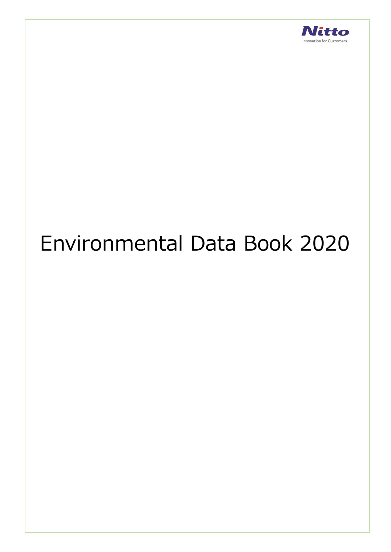

# Environmental Data Book 2020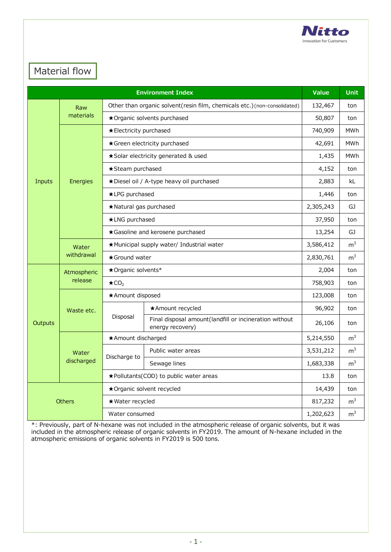

### Material flow

|                | Value               | <b>Unit</b>                                                              |                                                                            |                |                |
|----------------|---------------------|--------------------------------------------------------------------------|----------------------------------------------------------------------------|----------------|----------------|
|                | Raw                 | Other than organic solvent(resin film, chemicals etc.)(non-consolidated) | 132,467                                                                    | ton            |                |
|                | materials           | ★ Organic solvents purchased                                             | 50,807                                                                     | ton            |                |
|                |                     | ★ Electricity purchased                                                  |                                                                            | 740,909        | <b>MWh</b>     |
|                |                     |                                                                          | ★ Green electricity purchased                                              | 42,691         | <b>MWh</b>     |
|                |                     |                                                                          | *Solar electricity generated & used                                        | 1,435          | MWh            |
|                |                     | ★ Steam purchased                                                        |                                                                            | 4,152          | ton            |
| Inputs         | Energies            |                                                                          | ★Diesel oil / A-type heavy oil purchased                                   | 2,883          | kL             |
|                |                     | *LPG purchased                                                           |                                                                            | 1,446          | ton            |
|                |                     | ★Natural gas purchased                                                   |                                                                            | 2,305,243      | GJ.            |
|                |                     | *LNG purchased                                                           |                                                                            |                | ton            |
|                |                     | *Gasoline and kerosene purchased                                         | 13,254                                                                     | GJ             |                |
|                | Water<br>withdrawal | ★Municipal supply water/ Industrial water                                | 3,586,412                                                                  | m <sup>3</sup> |                |
|                |                     | ★Ground water                                                            | 2,830,761                                                                  | m <sup>3</sup> |                |
|                | Atmospheric         | ★Organic solvents*                                                       | 2,004                                                                      | ton            |                |
|                | release             | $\star$ CO <sub>2</sub>                                                  | 758,903                                                                    | ton            |                |
|                |                     | *Amount disposed                                                         | 123,008                                                                    | ton            |                |
|                | Waste etc.          |                                                                          | *Amount recycled                                                           | 96,902         | ton            |
| <b>Outputs</b> |                     | Disposal                                                                 | Final disposal amount(landfill or incineration without<br>energy recovery) | 26,106         | ton            |
|                |                     | *Amount discharged                                                       |                                                                            | 5,214,550      | m <sup>3</sup> |
|                | Water               | Discharge to                                                             | Public water areas                                                         | 3,531,212      | m <sup>3</sup> |
|                | discharged          |                                                                          | Sewage lines                                                               | 1,683,338      | m <sup>3</sup> |
|                |                     | ★Pollutants(COD) to public water areas                                   | 13.8                                                                       | ton            |                |
|                |                     |                                                                          | ★ Organic solvent recycled                                                 | 14,439         | ton            |
|                | <b>Others</b>       | ★ Water recycled                                                         |                                                                            | 817,232        | m <sup>3</sup> |
|                |                     | Water consumed                                                           | 1,202,623                                                                  | m <sup>3</sup> |                |

\*: Previously, part of N-hexane was not included in the atmospheric release of organic solvents, but it was included in the atmospheric release of organic solvents in FY2019. The amount of N-hexane included in the atmospheric emissions of organic solvents in FY2019 is 500 tons.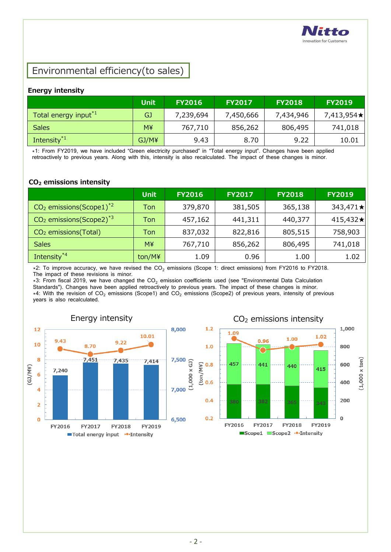

### Environmental efficiency(to sales)

#### **Energy intensity**

|                                  | <b>Unit</b> | <b>FY2016</b> | <b>FY2017</b> | <b>FY2018</b> | <b>FY2019</b> |
|----------------------------------|-------------|---------------|---------------|---------------|---------------|
| Total energy input <sup>*1</sup> | GJ          | 7,239,694     | 7,450,666     | 7,434,946     | 7,413,954★    |
| <b>Sales</b>                     | М¥          | 767,710       | 856,262       | 806,495       | 741,018       |
| Intensity <sup>*1</sup>          | GJ/M¥       | 9.43          | 8.70          | 9.22          | 10.01         |

\*1: From FY2019, we have included "Green electricity purchased" in "Total energy input". Changes have been applied retroactively to previous years. Along with this, intensity is also recalculated. The impact of these changes is minor.

#### **CO<sup>2</sup> emissions intensity**

|                                        | <b>Unit</b> | <b>FY2016</b> | <b>FY2017</b> | <b>FY2018</b> | <b>FY2019</b> |
|----------------------------------------|-------------|---------------|---------------|---------------|---------------|
| $CO2$ emissions(Scope1) <sup>*2</sup>  | Ton         | 379,870       | 381,505       | 365,138       | 343,471★      |
| $CO2$ emissions (Scope2) <sup>*3</sup> | Ton         | 457,162       | 441,311       | 440,377       | 415,432★      |
| CO <sub>2</sub> emissions (Total)      | Ton         | 837,032       | 822,816       | 805,515       | 758,903       |
| <b>Sales</b>                           | M¥          | 767,710       | 856,262       | 806,495       | 741,018       |
| Intensity <sup>*4</sup>                | ton/M¥      | 1.09          | 0.96          | 1.00          | 1.02          |

\*2: To improve accuracy, we have revised the CO<sub>2</sub> emissions (Scope 1: direct emissions) from FY2016 to FY2018. The impact of these revisions is minor.

 $*3$ : From fiscal 2019, we have changed the CO<sub>2</sub> emission coefficients used (see "Environmental Data Calculation Standards"). Changes have been applied retroactively to previous years. The impact of these changes is minor.  $*4$ : With the revision of CO<sub>2</sub> emissions (Scope1) and CO<sub>2</sub> emissions (Scope2) of previous years, intensity of previous years is also recalculated.

 $(1,000 \times GJ)$ 





### Energy intensity Energy intensity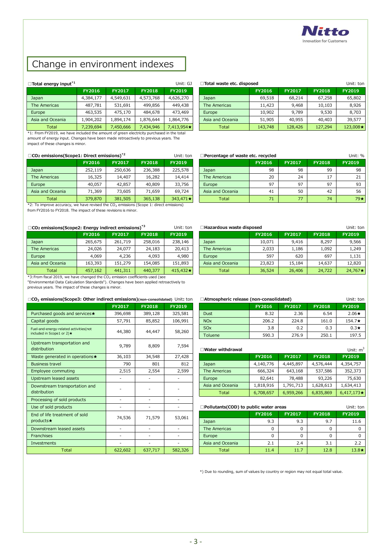

## Change in environment indexes ■ Change in<br>□Total energy input<sup>\*1</sup>

| $\Box$ Total energy input <sup>*1</sup> |               |           |               | Unit: GJ      |
|-----------------------------------------|---------------|-----------|---------------|---------------|
|                                         | <b>FY2016</b> | FY2017    | <b>FY2018</b> | <b>FY2019</b> |
| Japan                                   | 4,384,177     | 4,549,631 | 4,573,768     | 4,626,270     |
| The Americas                            | 487,781       | 531,691   | 499,856       | 449,438       |
| Europe                                  | 463,535       | 475,170   | 484,678       | 473,469       |
| Asia and Oceania                        | 1,904,202     | 1,894,174 | 1,876,644     | 1,864,776     |
| Total                                   | 7,239,694     | 7,450,666 | 7,434,946     | 7,413,954 *   |

**Total □CO**<sub>2</sub> **example 12**<br>**<sup>★1:</sup> From FY2019**, we have included the amount of greed amount of energy input. Changes have been made retro impact of these changes is minor.<br>□CO<sub>2</sub> emissions(Scope1: Direct emissions)<sup>★2</sup> \*1: From FY2019, we have included the amount of green electricity purchased in the total amount of energy input. Changes have been made retroactively to previous years. The impact of these changes is minor.

|                  | <b>FY2016</b> | FY2017  | <b>FY2018</b> | FY2019    |
|------------------|---------------|---------|---------------|-----------|
| Japan            | 252,119       | 250,636 | 236,388       | 225,578   |
| The Americas     | 16,325        | 14,407  | 16,282        | 14,414    |
| Europe           | 40,057        | 42,857  | 40,809        | 33,756    |
| Asia and Oceania | 71,369        | 73,605  | 71,659        | 69,724    |
| Total            | 379,870       | 381,505 | 365,138       | 343,471 * |

**■CO2 EXECUSE 12379,870 1381,505 1381,505 1381,505 1391,505 1391,505 1391,505 1391,505 1391,505 1391,505 1391,505 1391,505 1391,505 1391,505 1391,505 1391,505 1391,505 1391,505 1391**  $*2$ : To improve accuracy, we have revised the CO<sub>2</sub> emissions (Scope 1: direct emissions)<br>from FY2016 to FY2018. The impact of these revisions is minor.

| $\Box$ CO <sub>2</sub> emissions(Scope2: Energy indirect emissions) <sup>*3</sup> | Unit: ton     |                                |         |          |  |  |  |  |  |
|-----------------------------------------------------------------------------------|---------------|--------------------------------|---------|----------|--|--|--|--|--|
|                                                                                   | <b>FY2016</b> | <b>FY2017</b><br><b>FY2018</b> |         |          |  |  |  |  |  |
| Japan                                                                             | 265,675       | 261,719                        | 258,016 | 238,146  |  |  |  |  |  |
| The Americas                                                                      | 24,026        | 24,077                         | 24,183  | 20,413   |  |  |  |  |  |
| Europe                                                                            | 4,069         | 4,236                          | 4,093   | 4,980    |  |  |  |  |  |
| Asia and Oceania                                                                  | 163,393       | 151,279                        | 154,085 | 151,893  |  |  |  |  |  |
| Total                                                                             | 457,162       | 441,311                        | 440,377 | 415,432★ |  |  |  |  |  |

 $*3:$  From fiscal 2019, we have changed the CO<sub>2</sub> emission coefficients used (see "Environmental Data Calculation Standards"). Changes have been applied retroactively to previous years. The impact of these changes is minor.

#### **□CO2 emissions(Scope3: Other indirect emissions)(non-consolidated)** Unit**:** ton

|                                                                     | FY2017  | <b>FY2018</b> | FY2019  |
|---------------------------------------------------------------------|---------|---------------|---------|
| Purchased goods and services★                                       | 396,698 | 389,128       | 325,581 |
| Capital goods                                                       | 57,791  | 85,852        | 106,991 |
| Fuel-and-energy-related activities(not<br>included in Scope1 or 2)★ | 44,380  | 44,447        | 58,260  |
| Upstream transportation and<br>distribution                         | 9,789   | 8,809         | 7,594   |
| Waste generated in operations★                                      | 36,103  | 34,548        | 27,428  |
| <b>Business travel</b>                                              | 790     | 801           | 812     |
| <b>Employee commuting</b>                                           | 2,515   | 2,554         | 2,599   |
| Upstream leased assets                                              |         |               |         |
| Downstream transportation and<br>distribution                       |         |               |         |
| Processing of sold products                                         |         |               |         |
| Use of sold products                                                |         |               |         |
| End of life treatment of sold<br>products★                          | 74,536  | 71,579        | 53,061  |
| Downstream leased assets                                            |         |               |         |
| <b>Franchises</b>                                                   |         |               |         |
| <b>Investments</b>                                                  |         |               |         |
| <b>Total</b>                                                        | 622,602 | 637,717       | 582,326 |

| Total energy input <sup>*1</sup> |           |               |               | Unit: GJ      | Total waste etc. disposed |         |               |               | Unit: ton     |
|----------------------------------|-----------|---------------|---------------|---------------|---------------------------|---------|---------------|---------------|---------------|
|                                  | FY2016    | <b>FY2017</b> | <b>FY2018</b> | <b>FY2019</b> |                           | FY2016  | <b>FY2017</b> | <b>FY2018</b> | <b>FY2019</b> |
| Japan                            | 4,384,177 | 4,549,631     | 4,573,768     | 4,626,270     | Japan                     | 69,518  | 68,214        | 67,258        | 65,802        |
| The Americas                     | 487,781   | 531,691       | 499,856       | 449,438       | The Americas              | 11,423  | 9,468         | 10,103        | 8,926         |
| Europe                           | 463,535   | 475,170       | 484,678       | 473,469       | Europe                    | 10,902  | 9,789         | 9,530         | 8,703         |
| Asia and Oceania                 | 1,904,202 | 1,894,174     | .876.644      | 1,864,776     | Asia and Oceania          | 51,905  | 40,955        | 40,403        | 39,577        |
| Total                            | 7,239,694 | 7,450,666     | 7,434,946     | 7,413,954★    | Total                     | 143,748 | 128,426       | 127,294       | 123,008★      |

| CO <sub>2</sub> emissions(Scope1: Direct emissions) <sup>*2</sup><br>Unit: ton |               |               |               |                 |  | Percentage of waste etc. recycled |               |               |               | Unit: %       |
|--------------------------------------------------------------------------------|---------------|---------------|---------------|-----------------|--|-----------------------------------|---------------|---------------|---------------|---------------|
|                                                                                | <b>FY2016</b> | <b>FY2017</b> | <b>FY2018</b> | <b>FY2019</b>   |  |                                   | <b>FY2016</b> | <b>FY2017</b> | <b>FY2018</b> | <b>FY2019</b> |
| Japan                                                                          | 252,119       | 250,636       | 236,388       | 225,578         |  | Japan                             | 98            | 98            | 99            | 98            |
| The Americas                                                                   | 16,325        | 14,407        | 16,282        | 14,414          |  | The Americas                      | 20            | 24            | 17            | 21            |
| Europe                                                                         | 40,057        | 42,857        | 40,809        | 33,756          |  | Europe                            | 97            | 97            | 97            | 93            |
| Asia and Oceania                                                               | 71,369        | 73,605        | 71,659        | 69,724          |  | Asia and Oceania                  | 41            | 50            | 42            | 56            |
| Total                                                                          | 379,870       | 381,505       | 365,138       | $343,471 \star$ |  | Total                             | 71            | 77            | 74            | 79★           |

| CO <sub>2</sub> emissions(Scope2: Energy indirect emissions) <sup>*3</sup> |               |               |               | Unit: ton       | <b>Hazardous waste disposed</b> |               |               |               | Unit: ton     |
|----------------------------------------------------------------------------|---------------|---------------|---------------|-----------------|---------------------------------|---------------|---------------|---------------|---------------|
|                                                                            | <b>FY2016</b> | <b>FY2017</b> | <b>FY2018</b> | <b>FY2019</b>   |                                 | <b>FY2016</b> | <b>FY2017</b> | <b>FY2018</b> | <b>FY2019</b> |
| Japan                                                                      | 265,675       | 261,719       | 258,016       | 238,146         | Japan                           | 10.071        | 9,416         | 8,297         | 9,566         |
| The Americas                                                               | 24,026        | 24,077        | 24,183        | 20,413          | The Americas                    | 2.033         | 1,186         | 1.092         | 1,249         |
| Europe                                                                     | 4,069         | 4,236         | 4,093         | 4,980           | Europe                          | 597           | 620           | 697           | 1,131         |
| Asia and Oceania                                                           | 163,393       | 151,279       | 154,085       | 151,893         | Asia and Oceania                | 23,823        | 15,184        | 14,637        | 12,820        |
| Total                                                                      | 457,162       | 441,311       | 440,377       | 415,432 $\star$ | Total                           | 36,524        | 26,406        | 24,722        | 24,767★       |

| t emissions)(non-consolidated) Unit: ton |               |               |                       | □Atmospheric release (non-consolidated)<br>Unit: ton |               |               |               |  |  |  |
|------------------------------------------|---------------|---------------|-----------------------|------------------------------------------------------|---------------|---------------|---------------|--|--|--|
| FY2017                                   | <b>FY2018</b> | <b>FY2019</b> |                       | <b>FY2016</b>                                        | <b>FY2017</b> | <b>FY2018</b> | FY2019        |  |  |  |
| 396,698                                  | 389,128       | 325,581       | <b>Dust</b>           | 8.32                                                 | 2.36          | 6.54          | $2.06\star$   |  |  |  |
| 57,791                                   | 85,852        | 106,991       | <b>NO<sub>x</sub></b> | 206.2                                                | 224.8         | 161.0         | 154.7 $\star$ |  |  |  |
|                                          |               |               | <b>SO<sub>x</sub></b> | 3.8                                                  | 0.2           | 0.3           | $0.3\star$    |  |  |  |
| 44,380<br>44,447                         |               | 58,260        | Toluene               | 590.3                                                | 276.9         | 250.1         | 197.5         |  |  |  |

| 9,789  | 8,809  | 7,594                    | ∃Water withdrawal |               |               |               | Unit: $m^3$       |
|--------|--------|--------------------------|-------------------|---------------|---------------|---------------|-------------------|
| 36,103 | 34,548 | 27,428                   |                   | <b>FY2016</b> | <b>FY2017</b> | <b>FY2018</b> | <b>FY2019</b>     |
| 790    | 801    | 812                      | Japan             | 4,140,776     | 4,445,897     | 4,576,444     | 4,354,757         |
| 2,515  | 2,554  | 2,599                    | The Americas      | 666,324       | 643,168       | 537,586       | 352,373           |
|        |        |                          | Europe            | 82,641        | 78,488        | 93,226        | 75,630            |
|        |        | $\overline{\phantom{0}}$ | Asia and Oceania  | 1,818,916     | 1,791,713     | 1,628,613     | 1,634,413         |
|        |        |                          | Total             | 6,708,657     | 6,959,266     | 6,835,869     | $6,417,173 \star$ |

|         |         |         | □Pollutants(COD) to public water areas<br>Unit: ton |               |               |               |               |
|---------|---------|---------|-----------------------------------------------------|---------------|---------------|---------------|---------------|
| 74,536  | 71,579  | 53,061  |                                                     | <b>FY2016</b> | <b>FY2017</b> | <b>FY2018</b> | <b>FY2019</b> |
|         |         |         | Japan                                               | 9.3           | 9.3           | 9.7           | 11.6          |
|         |         |         | The Americas                                        |               |               | 0             |               |
|         |         |         | Europe                                              |               |               | 0             |               |
|         |         |         | Asia and Oceania                                    | 2.1           | 2.4           | 3.1           | 2.2           |
| 622,602 | 637,717 | 582,326 | Total                                               | 11.4          | 11.7          | 12.8          | $13.8\star$   |

\*) Due to rounding, sum of values by country or region may not equal total value.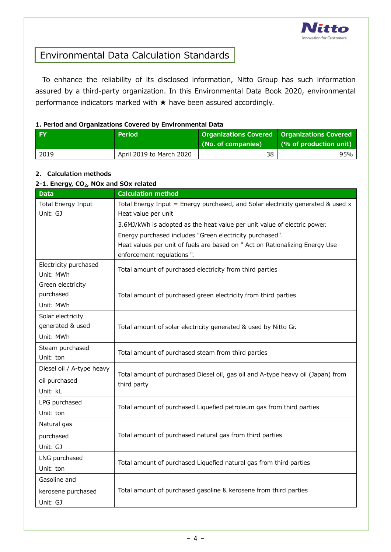

### Environmental Data Calculation Standards

To enhance the reliability of its disclosed information, Nitto Group has such information assured by a third-party organization. In this Environmental Data Book 2020, environmental performance indicators marked with  $\star$  have been assured accordingly.

#### **1. Period and Organizations Covered by Environmental Data**

| <b>FY</b> | <b>Period</b>            | <b>Organizations Covered   Organizations Covered  </b><br>(No. of companies) | (% of production unit) |
|-----------|--------------------------|------------------------------------------------------------------------------|------------------------|
| 2019      | April 2019 to March 2020 | 38                                                                           | 95%                    |

#### **2. Calculation methods**

#### **2-1. Energy, CO2, NOx and SOx related Data Calculation method** Total Energy Input Unit: GJ Total Energy Input = Energy purchased, and Solar electricity generated  $\&$  used  $x$ Heat value per unit 3.6MJ/kWh is adopted as the heat value per unit value of electric power. Energy purchased includes "Green electricity purchased". Heat values per unit of fuels are based on " Act on Rationalizing Energy Use enforcement regulations ". Electricity purchased Unit: MWh Total amount of purchased electricity from third parties Green electricity purchased Unit: MWh Total amount of purchased green electricity from third parties Solar electricity generated & used Unit: MWh Total amount of solar electricity generated & used by Nitto Gr. Steam purchased Unit: ton Total amount of purchased steam from third parties Diesel oil / A-type heavy oil purchased Unit: kL Total amount of purchased Diesel oil, gas oil and A-type heavy oil (Japan) from third party LPG purchased Unit: ton Total amount of purchased Liquefied petroleum gas from third parties Natural gas purchased Unit: GJ Total amount of purchased natural gas from third parties LNG purchased Unit: ton Total amount of purchased Liquefied natural gas from third parties Gasoline and kerosene purchased Unit: GJ Total amount of purchased gasoline & kerosene from third parties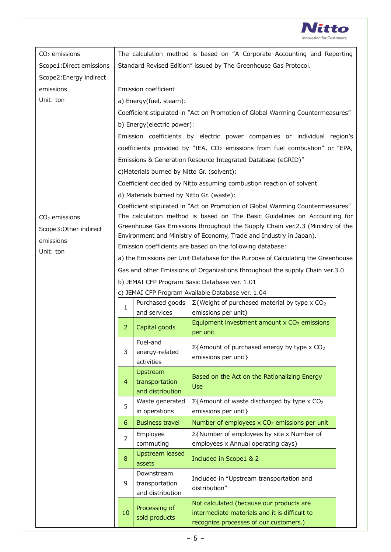

| $CO2$ emissions         |                                                                                  |                                             | The calculation method is based on "A Corporate Accounting and Reporting                |  |  |
|-------------------------|----------------------------------------------------------------------------------|---------------------------------------------|-----------------------------------------------------------------------------------------|--|--|
| Scope1:Direct emissions |                                                                                  |                                             | Standard Revised Edition" issued by The Greenhouse Gas Protocol.                        |  |  |
| Scope2: Energy indirect |                                                                                  |                                             |                                                                                         |  |  |
| emissions               |                                                                                  | Emission coefficient                        |                                                                                         |  |  |
| Unit: ton               |                                                                                  | a) Energy(fuel, steam):                     |                                                                                         |  |  |
|                         |                                                                                  |                                             | Coefficient stipulated in "Act on Promotion of Global Warming Countermeasures"          |  |  |
|                         |                                                                                  | b) Energy(electric power):                  |                                                                                         |  |  |
|                         |                                                                                  |                                             | Emission coefficients by electric power companies or individual region's                |  |  |
|                         |                                                                                  |                                             | coefficients provided by "IEA, CO <sub>2</sub> emissions from fuel combustion" or "EPA, |  |  |
|                         |                                                                                  |                                             | Emissions & Generation Resource Integrated Database (eGRID)"                            |  |  |
|                         |                                                                                  | c) Materials burned by Nitto Gr. (solvent): |                                                                                         |  |  |
|                         |                                                                                  |                                             | Coefficient decided by Nitto assuming combustion reaction of solvent                    |  |  |
|                         |                                                                                  | d) Materials burned by Nitto Gr. (waste):   |                                                                                         |  |  |
|                         |                                                                                  |                                             | Coefficient stipulated in "Act on Promotion of Global Warming Countermeasures"          |  |  |
| $CO2$ emissions         |                                                                                  |                                             | The calculation method is based on The Basic Guidelines on Accounting for               |  |  |
| Scope3: Other indirect  |                                                                                  |                                             | Greenhouse Gas Emissions throughout the Supply Chain ver.2.3 (Ministry of the           |  |  |
| emissions               |                                                                                  |                                             | Environment and Ministry of Economy, Trade and Industry in Japan).                      |  |  |
| Unit: ton               | Emission coefficients are based on the following database:                       |                                             |                                                                                         |  |  |
|                         | a) the Emissions per Unit Database for the Purpose of Calculating the Greenhouse |                                             |                                                                                         |  |  |
|                         | Gas and other Emissions of Organizations throughout the supply Chain ver.3.0     |                                             |                                                                                         |  |  |
|                         | b) JEMAI CFP Program Basic Database ver. 1.01                                    |                                             |                                                                                         |  |  |
|                         | c) JEMAI CFP Program Available Database ver. 1.04                                |                                             |                                                                                         |  |  |
|                         | 1                                                                                | Purchased goods                             | $\Sigma$ {Weight of purchased material by type x CO <sub>2</sub>                        |  |  |
|                         |                                                                                  | and services                                | emissions per unit}                                                                     |  |  |
|                         | 2                                                                                | Capital goods                               | Equipment investment amount $\times$ CO <sub>2</sub> emissions<br>per unit              |  |  |
|                         |                                                                                  | Fuel-and                                    | $\Sigma$ {Amount of purchased energy by type x CO <sub>2</sub>                          |  |  |
|                         | 3                                                                                | energy-related                              | emissions per unit}                                                                     |  |  |
|                         |                                                                                  | activities                                  |                                                                                         |  |  |
|                         | 4                                                                                | Upstream<br>transportation                  | Based on the Act on the Rationalizing Energy                                            |  |  |
|                         |                                                                                  | and distribution                            | <b>Use</b>                                                                              |  |  |
|                         |                                                                                  | Waste generated                             | $\Sigma$ {Amount of waste discharged by type x CO <sub>2</sub>                          |  |  |
|                         | 5                                                                                | in operations                               | emissions per unit}                                                                     |  |  |
|                         | 6                                                                                | <b>Business travel</b>                      | Number of employees x CO <sub>2</sub> emissions per unit                                |  |  |
|                         | $\overline{7}$                                                                   | Employee                                    | Σ{Number of employees by site x Number of                                               |  |  |
|                         |                                                                                  | commuting                                   | employees x Annual operating days}                                                      |  |  |
|                         | 8                                                                                | <b>Upstream leased</b><br>assets            | Included in Scope1 & 2                                                                  |  |  |
|                         |                                                                                  | Downstream                                  |                                                                                         |  |  |
|                         | 9                                                                                | transportation                              | Included in "Upstream transportation and<br>distribution"                               |  |  |
|                         |                                                                                  | and distribution                            |                                                                                         |  |  |
|                         | 10                                                                               | Processing of                               | Not calculated (because our products are                                                |  |  |
|                         |                                                                                  | sold products                               | intermediate materials and it is difficult to                                           |  |  |
|                         |                                                                                  |                                             | recognize processes of our customers.)                                                  |  |  |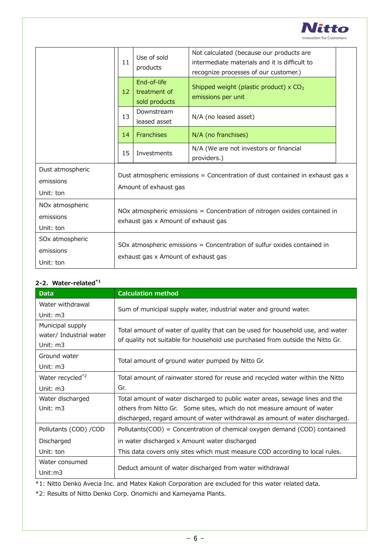

|                                                       | 11                                                                                                                 | Use of sold<br>products                      | Not calculated (because our products are<br>intermediate materials and it is difficult to<br>recognize processes of our customer.) |  |
|-------------------------------------------------------|--------------------------------------------------------------------------------------------------------------------|----------------------------------------------|------------------------------------------------------------------------------------------------------------------------------------|--|
|                                                       | 12                                                                                                                 | End-of-life<br>treatment of<br>sold products | Shipped weight (plastic product) x CO <sub>2</sub><br>emissions per unit                                                           |  |
|                                                       | 13                                                                                                                 | Downstream<br>leased asset                   | N/A (no leased asset)                                                                                                              |  |
|                                                       | 14                                                                                                                 | <b>Franchises</b>                            | N/A (no franchises)                                                                                                                |  |
|                                                       | 15                                                                                                                 | Investments                                  | N/A (We are not investors or financial<br>providers.)                                                                              |  |
| Dust atmospheric<br>emissions<br>Unit: ton            | Dust atmospheric emissions = Concentration of dust contained in exhaust gas $x$<br>Amount of exhaust gas           |                                              |                                                                                                                                    |  |
| NO <sub>x</sub> atmospheric<br>emissions<br>Unit: ton | NOx atmospheric emissions $=$ Concentration of nitrogen oxides contained in<br>exhaust gas x Amount of exhaust gas |                                              |                                                                                                                                    |  |
| SO <sub>x</sub> atmospheric<br>emissions<br>Unit: ton | SOx atmospheric emissions = Concentration of sulfur oxides contained in<br>exhaust gas x Amount of exhaust gas     |                                              |                                                                                                                                    |  |

#### **2-2.Water-related\*1**

| <b>Data</b>             | <b>Calculation method</b>                                                      |  |  |
|-------------------------|--------------------------------------------------------------------------------|--|--|
| Water withdrawal        | Sum of municipal supply water, industrial water and ground water.              |  |  |
| Unit: m3                |                                                                                |  |  |
| Municipal supply        | Total amount of water of quality that can be used for household use, and water |  |  |
| water/ Industrial water | of quality not suitable for household use purchased from outside the Nitto Gr. |  |  |
| Unit: $m3$              |                                                                                |  |  |
| Ground water            | Total amount of ground water pumped by Nitto Gr.                               |  |  |
| Unit: $m3$              |                                                                                |  |  |
| Water recycled*2        | Total amount of rainwater stored for reuse and recycled water within the Nitto |  |  |
| Unit: m3                | Gr.                                                                            |  |  |
| Water discharged        | Total amount of water discharged to public water areas, sewage lines and the   |  |  |
| Unit: m3                | others from Nitto Gr. Some sites, which do not measure amount of water         |  |  |
|                         | discharged, regard amount of water withdrawal as amount of water discharged.   |  |  |
| Pollutants (COD) / COD  | Pollutants(COD) = Concentration of chemical oxygen demand (COD) contained      |  |  |
| Discharged              | in water discharged x Amount water discharged                                  |  |  |
| Unit: ton               | This data covers only sites which must measure COD according to local rules.   |  |  |
| Water consumed          |                                                                                |  |  |
| Unit: $m3$              | Deduct amount of water discharged from water withdrawal                        |  |  |

\*1: Nitto Denko Avecia Inc. and Matex Kakoh Corporation are excluded for this water related data.

\*2: Results of Nitto Denko Corp. Onomichi and Kameyama Plants.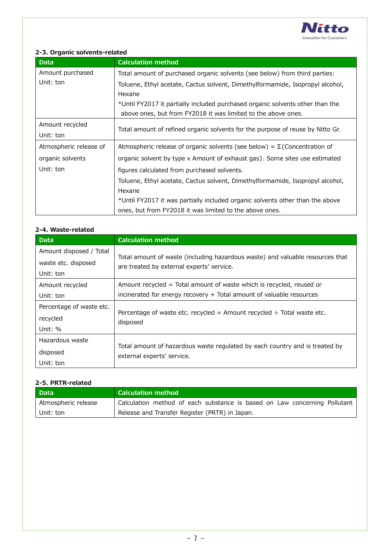

#### **2-3. Organic solvents-related**

| <b>Data</b>            | <b>Calculation method</b>                                                        |  |  |
|------------------------|----------------------------------------------------------------------------------|--|--|
| Amount purchased       | Total amount of purchased organic solvents (see below) from third parties:       |  |  |
| Unit: ton              | Toluene, Ethyl acetate, Cactus solvent, Dimethylformamide, Isopropyl alcohol,    |  |  |
|                        | Hexane                                                                           |  |  |
|                        | *Until FY2017 it partially included purchased organic solvents other than the    |  |  |
|                        | above ones, but from FY2018 it was limited to the above ones.                    |  |  |
| Amount recycled        | Total amount of refined organic solvents for the purpose of reuse by Nitto Gr.   |  |  |
| Unit: ton              |                                                                                  |  |  |
| Atmospheric release of | Atmospheric release of organic solvents (see below) = $\Sigma$ {Concentration of |  |  |
| organic solvents       | organic solvent by type x Amount of exhaust gas}. Some sites use estimated       |  |  |
| Unit: ton              | figures calculated from purchased solvents.                                      |  |  |
|                        | Toluene, Ethyl acetate, Cactus solvent, Dimethylformamide, Isopropyl alcohol,    |  |  |
|                        | Hexane                                                                           |  |  |
|                        | *Until FY2017 it was partially included organic solvents other than the above    |  |  |
|                        | ones, but from FY2018 it was limited to the above ones.                          |  |  |

| 2-4. Waste-related                                          |                                                                                                                                              |  |  |  |  |
|-------------------------------------------------------------|----------------------------------------------------------------------------------------------------------------------------------------------|--|--|--|--|
| <b>Data</b>                                                 | <b>Calculation method</b>                                                                                                                    |  |  |  |  |
| Amount disposed / Total<br>waste etc. disposed<br>Unit: ton | Total amount of waste (including hazardous waste) and valuable resources that<br>are treated by external experts' service.                   |  |  |  |  |
| Amount recycled<br>Unit: ton                                | Amount recycled = Total amount of waste which is recycled, reused or<br>incinerated for energy recovery + Total amount of valuable resources |  |  |  |  |
| Percentage of waste etc.<br>recycled<br>Unit: %             | Percentage of waste etc. recycled = Amount recycled $\div$ Total waste etc.<br>disposed                                                      |  |  |  |  |
| Hazardous waste<br>disposed<br>Unit: ton                    | Total amount of hazardous waste regulated by each country and is treated by<br>external experts' service.                                    |  |  |  |  |

#### **2-4. Waste-related**

#### **2-5. PRTR-related**

| <b>Data</b>         | <b>Calculation method</b>                                                 |
|---------------------|---------------------------------------------------------------------------|
| Atmospheric release | Calculation method of each substance is based on Law concerning Pollutant |
| Unit: ton           | Release and Transfer Register (PRTR) in Japan.                            |